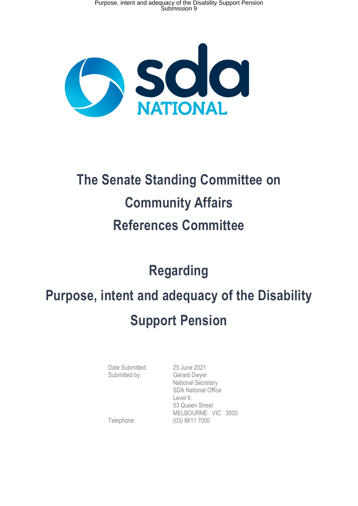

## **The Senate Standing Committee on Community Affairs References Committee**

## **Regarding**

# **Purpose, intent and adequacy of the Disability Support Pension**

Date Submitted: 25 June 2021 Submitted by: Gerard Dwyer

 National Secretary SDA National Office Level 6 53 Queen Street MELBOURNE VIC 3000 Telephone: (03) 8611 7000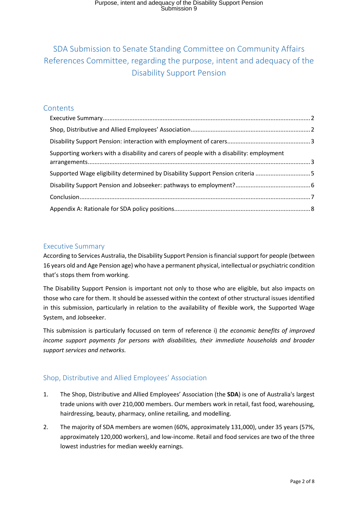### SDA Submission to Senate Standing Committee on Community Affairs References Committee, regarding the purpose, intent and adequacy of the Disability Support Pension

#### **Contents**

| Supporting workers with a disability and carers of people with a disability: employment |  |
|-----------------------------------------------------------------------------------------|--|
| Supported Wage eligibility determined by Disability Support Pension criteria 5          |  |
|                                                                                         |  |
|                                                                                         |  |
|                                                                                         |  |

#### Executive Summary

According to Services Australia, the Disability Support Pension is financial support for people (between 16 years old and Age Pension age) who have a permanent physical, intellectual or psychiatric condition that's stops them from working.

The Disability Support Pension is important not only to those who are eligible, but also impacts on those who care for them. It should be assessed within the context of other structural issues identified in this submission, particularly in relation to the availability of flexible work, the Supported Wage System, and Jobseeker.

This submission is particularly focussed on term of reference i) *the economic benefits of improved income support payments for persons with disabilities, their immediate households and broader support services and networks.* 

#### Shop, Distributive and Allied Employees' Association

- 1. The Shop, Distributive and Allied Employees' Association (the **SDA**) is one of Australia's largest trade unions with over 210,000 members. Our members work in retail, fast food, warehousing, hairdressing, beauty, pharmacy, online retailing, and modelling.
- 2. The majority of SDA members are women (60%, approximately 131,000), under 35 years (57%, approximately 120,000 workers), and low-income. Retail and food services are two of the three lowest industries for median weekly earnings.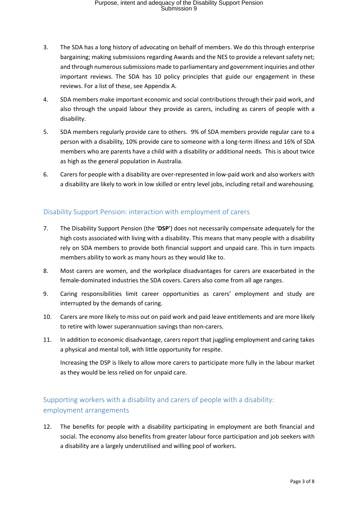- 3. The SDA has a long history of advocating on behalf of members. We do this through enterprise bargaining; making submissions regarding Awards and the NES to provide a relevant safety net; and through numerous submissions made to parliamentary and government inquiries and other important reviews. The SDA has 10 policy principles that guide our engagement in these reviews. For a list of these, see Appendix A.
- 4. SDA members make important economic and social contributions through their paid work, and also through the unpaid labour they provide as carers, including as carers of people with a disability.
- 5. SDA members regularly provide care to others. 9% of SDA members provide regular care to a person with a disability, 10% provide care to someone with a long-term illness and 16% of SDA members who are parents have a child with a disability or additional needs. This is about twice as high as the general population in Australia.
- 6. Carers for people with a disability are over-represented in low-paid work and also workers with a disability are likely to work in low skilled or entry level jobs, including retail and warehousing.

#### Disability Support Pension: interaction with employment of carers

- 7. The Disability Support Pension (the '**DSP**') does not necessarily compensate adequately for the high costs associated with living with a disability. This means that many people with a disability rely on SDA members to provide both financial support and unpaid care. This in turn impacts members ability to work as many hours as they would like to.
- 8. Most carers are women, and the workplace disadvantages for carers are exacerbated in the female-dominated industries the SDA covers. Carers also come from all age ranges.
- 9. Caring responsibilities limit career opportunities as carers' employment and study are interrupted by the demands of caring.
- 10. Carers are more likely to miss out on paid work and paid leave entitlements and are more likely to retire with lower superannuation savings than non-carers.
- 11. In addition to economic disadvantage, carers report that juggling employment and caring takes a physical and mental toll, with little opportunity for respite.

Increasing the DSP is likely to allow more carers to participate more fully in the labour market as they would be less relied on for unpaid care.

#### Supporting workers with a disability and carers of people with a disability: employment arrangements

12. The benefits for people with a disability participating in employment are both financial and social. The economy also benefits from greater labour force participation and job seekers with a disability are a largely underutilised and willing pool of workers.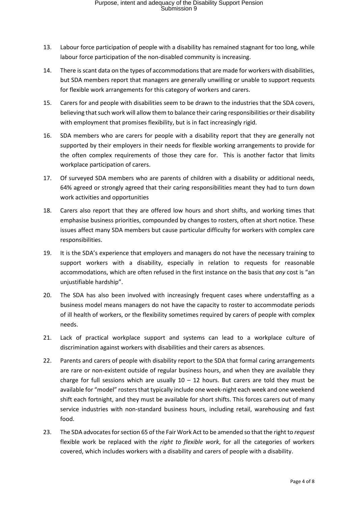- 13. Labour force participation of people with a disability has remained stagnant for too long, while labour force participation of the non-disabled community is increasing.
- 14. There is scant data on the types of accommodations that are made for workers with disabilities, but SDA members report that managers are generally unwilling or unable to support requests for flexible work arrangements for this category of workers and carers.
- 15. Carers for and people with disabilities seem to be drawn to the industries that the SDA covers, believing that such work will allow them to balance their caring responsibilities or their disability with employment that promises flexibility, but is in fact increasingly rigid.
- 16. SDA members who are carers for people with a disability report that they are generally not supported by their employers in their needs for flexible working arrangements to provide for the often complex requirements of those they care for. This is another factor that limits workplace participation of carers.
- 17. Of surveyed SDA members who are parents of children with a disability or additional needs, 64% agreed or strongly agreed that their caring responsibilities meant they had to turn down work activities and opportunities
- 18. Carers also report that they are offered low hours and short shifts, and working times that emphasise business priorities, compounded by changes to rosters, often at short notice. These issues affect many SDA members but cause particular difficulty for workers with complex care responsibilities.
- 19. It is the SDA's experience that employers and managers do not have the necessary training to support workers with a disability, especially in relation to requests for reasonable accommodations, which are often refused in the first instance on the basis that *any* cost is "an unjustifiable hardship".
- 20. The SDA has also been involved with increasingly frequent cases where understaffing as a business model means managers do not have the capacity to roster to accommodate periods of ill health of workers, or the flexibility sometimes required by carers of people with complex needs.
- 21. Lack of practical workplace support and systems can lead to a workplace culture of discrimination against workers with disabilities and their carers as absences.
- 22. Parents and carers of people with disability report to the SDA that formal caring arrangements are rare or non-existent outside of regular business hours, and when they are available they charge for full sessions which are usually  $10 - 12$  hours. But carers are told they must be available for "model" rosters that typically include one week-night each week and one weekend shift each fortnight, and they must be available for short shifts. This forces carers out of many service industries with non-standard business hours, including retail, warehousing and fast food.
- 23. The SDA advocates for section 65 of the Fair Work Act to be amended so that the right to *request* flexible work be replaced with the *right to flexible work*, for all the categories of workers covered, which includes workers with a disability and carers of people with a disability.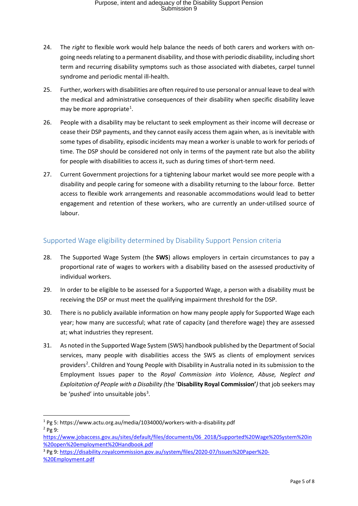- 24. The *right* to flexible work would help balance the needs of both carers and workers with ongoing needs relating to a permanent disability, and those with periodic disability, including short term and recurring disability symptoms such as those associated with diabetes, carpel tunnel syndrome and periodic mental ill-health.
- 25. Further, workers with disabilities are often required to use personal or annual leave to deal with the medical and administrative consequences of their disability when specific disability leave may be more appropriate<sup>1</sup>.
- 26. People with a disability may be reluctant to seek employment as their income will decrease or cease their DSP payments, and they cannot easily access them again when, as is inevitable with some types of disability, episodic incidents may mean a worker is unable to work for periods of time. The DSP should be considered not only in terms of the payment rate but also the ability for people with disabilities to access it, such as during times of short-term need.
- 27. Current Government projections for a tightening labour market would see more people with a disability and people caring for someone with a disability returning to the labour force. Better access to flexible work arrangements and reasonable accommodations would lead to better engagement and retention of these workers, who are currently an under-utilised source of labour.

#### Supported Wage eligibility determined by Disability Support Pension criteria

- 28. The Supported Wage System (the **SWS**) allows employers in certain circumstances to pay a proportional rate of wages to workers with a disability based on the assessed productivity of individual workers.
- 29. In order to be eligible to be assessed for a Supported Wage, a person with a disability must be receiving the DSP or must meet the qualifying impairment threshold for the DSP.
- 30. There is no publicly available information on how many people apply for Supported Wage each year; how many are successful; what rate of capacity (and therefore wage) they are assessed at; what industries they represent.
- 31. As noted in the Supported Wage System (SWS) handbook published by the Department of Social services, many people with disabilities access the SWS as clients of employment services providers<sup>2</sup>. Children and Young People with Disability in Australia noted in its submission to the Employment Issues paper to the *Royal Commission into Violence, Abuse, Neglect and Exploitation of People with a Disability (*the '**Disability Royal Commission'***)* that job seekers may be 'pushed' into unsuitable jobs<sup>3</sup>.

<sup>1</sup> Pg 5: https://www.actu.org.au/media/1034000/workers-with-a-disability.pdf  $2$  Pg 9:

https://www.jobaccess.gov.au/sites/default/files/documents/06 2018/Supported%20Wage%20System%20in %20open%20employment%20Handbook.pdf

<sup>3</sup> Pg 9: https://disability.royalcommission.gov.au/system/files/2020-07/Issues%20Paper%20- %20Employment.pdf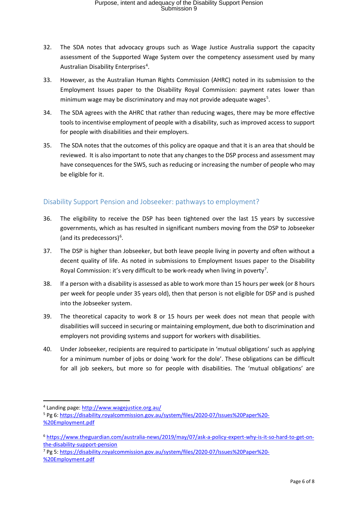- 32. The SDA notes that advocacy groups such as Wage Justice Australia support the capacity assessment of the Supported Wage System over the competency assessment used by many Australian Disability Enterprises<sup>4</sup>.
- 33. However, as the Australian Human Rights Commission (AHRC) noted in its submission to the Employment Issues paper to the Disability Royal Commission: payment rates lower than minimum wage may be discriminatory and may not provide adequate wages<sup>5</sup>.
- 34. The SDA agrees with the AHRC that rather than reducing wages, there may be more effective tools to incentivise employment of people with a disability, such as improved access to support for people with disabilities and their employers.
- 35. The SDA notes that the outcomes of this policy are opaque and that it is an area that should be reviewed. It is also important to note that any changes to the DSP process and assessment may have consequences for the SWS, such as reducing or increasing the number of people who may be eligible for it.

#### Disability Support Pension and Jobseeker: pathways to employment?

- 36. The eligibility to receive the DSP has been tightened over the last 15 years by successive governments, which as has resulted in significant numbers moving from the DSP to Jobseeker (and its predecessors)<sup>6</sup>.
- 37. The DSP is higher than Jobseeker, but both leave people living in poverty and often without a decent quality of life. As noted in submissions to Employment Issues paper to the Disability Royal Commission: it's very difficult to be work-ready when living in poverty<sup>7</sup>.
- 38. If a person with a disability is assessed as able to work more than 15 hours per week (or 8 hours per week for people under 35 years old), then that person is not eligible for DSP and is pushed into the Jobseeker system.
- 39. The theoretical capacity to work 8 or 15 hours per week does not mean that people with disabilities will succeed in securing or maintaining employment, due both to discrimination and employers not providing systems and support for workers with disabilities.
- 40. Under Jobseeker, recipients are required to participate in 'mutual obligations' such as applying for a minimum number of jobs or doing 'work for the dole'. These obligations can be difficult for all job seekers, but more so for people with disabilities. The 'mutual obligations' are

<sup>7</sup> Pg 5: https://disability.royalcommission.gov.au/system/files/2020-07/Issues%20Paper%20- %20Employment.pdf

<sup>4</sup> Landing page: http://www.wagejustice.org.au/

<sup>5</sup> Pg 6: https://disability.royalcommission.gov.au/system/files/2020-07/Issues%20Paper%20- %20Employment.pdf

<sup>6</sup> https://www.theguardian.com/australia-news/2019/may/07/ask-a-policy-expert-why-is-it-so-hard-to-get-onthe-disability-support-pension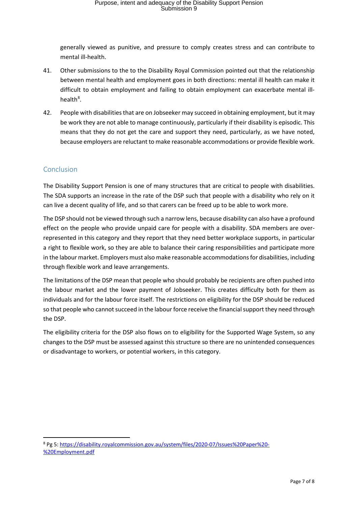generally viewed as punitive, and pressure to comply creates stress and can contribute to mental ill-health.

- 41. Other submissions to the to the Disability Royal Commission pointed out that the relationship between mental health and employment goes in both directions: mental ill health can make it difficult to obtain employment and failing to obtain employment can exacerbate mental illhealth<sup>8</sup>.
- 42. People with disabilities that are on Jobseeker may succeed in obtaining employment, but it may be work they are not able to manage continuously, particularly if their disability is episodic. This means that they do not get the care and support they need, particularly, as we have noted, because employers are reluctant to make reasonable accommodations or provide flexible work.

#### Conclusion

The Disability Support Pension is one of many structures that are critical to people with disabilities. The SDA supports an increase in the rate of the DSP such that people with a disability who rely on it can live a decent quality of life, and so that carers can be freed up to be able to work more.

The DSP should not be viewed through such a narrow lens, because disability can also have a profound effect on the people who provide unpaid care for people with a disability. SDA members are overrepresented in this category and they report that they need better workplace supports, in particular a right to flexible work, so they are able to balance their caring responsibilities and participate more in the labour market. Employers must also make reasonable accommodations for disabilities, including through flexible work and leave arrangements.

The limitations of the DSP mean that people who should probably be recipients are often pushed into the labour market and the lower payment of Jobseeker. This creates difficulty both for them as individuals and for the labour force itself. The restrictions on eligibility for the DSP should be reduced so that people who cannot succeed in the labour force receive the financial support they need through the DSP.

The eligibility criteria for the DSP also flows on to eligibility for the Supported Wage System, so any changes to the DSP must be assessed against this structure so there are no unintended consequences or disadvantage to workers, or potential workers, in this category.

<sup>8</sup> Pg 5: https://disability.royalcommission.gov.au/system/files/2020-07/Issues%20Paper%20- %20Employment.pdf